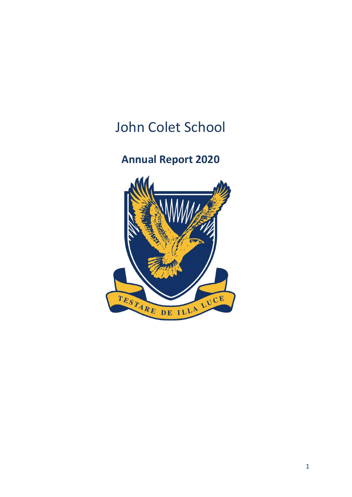# John Colet School

## **Annual Report 2020**

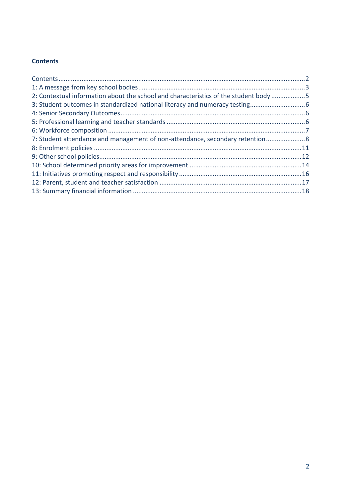## <span id="page-1-0"></span>**Contents**

| 2: Contextual information about the school and characteristics of the student body 5 |  |
|--------------------------------------------------------------------------------------|--|
|                                                                                      |  |
|                                                                                      |  |
|                                                                                      |  |
|                                                                                      |  |
| 7: Student attendance and management of non-attendance, secondary retention 8        |  |
|                                                                                      |  |
|                                                                                      |  |
|                                                                                      |  |
|                                                                                      |  |
|                                                                                      |  |
|                                                                                      |  |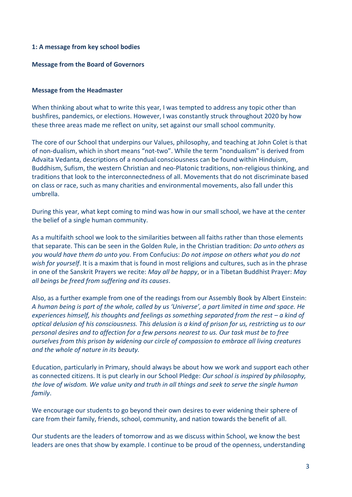#### <span id="page-2-0"></span>**1: A message from key school bodies**

#### **Message from the Board of Governors**

#### **Message from the Headmaster**

When thinking about what to write this year, I was tempted to address any topic other than bushfires, pandemics, or elections. However, I was constantly struck throughout 2020 by how these three areas made me reflect on unity, set against our small school community.

The core of our School that underpins our Values, philosophy, and teaching at John Colet is that of non-dualism, which in short means "not-two". While the term "nondualism" is derived from Advaita Vedanta, descriptions of a nondual consciousness can be found within Hinduism, Buddhism, Sufism, the western Christian and neo-Platonic traditions, non-religious thinking, and traditions that look to the interconnectedness of all. Movements that do not discriminate based on class or race, such as many charities and environmental movements, also fall under this umbrella.

During this year, what kept coming to mind was how in our small school, we have at the center the belief of a single human community.

As a multifaith school we look to the similarities between all faiths rather than those elements that separate. This can be seen in the Golden Rule, in the Christian tradition: *Do unto others as you would have them do unto you*. From Confucius: *Do not impose on others what you do not wish for yourself*. It is a maxim that is found in most religions and cultures, such as in the phrase in one of the Sanskrit Prayers we recite: *May all be happy*, or in a Tibetan Buddhist Prayer: *May all beings be freed from suffering and its causes*.

Also, as a further example from one of the readings from our Assembly Book by Albert Einstein: *A human being is part of the whole, called by us 'Universe', a part limited in time and space. He experiences himself, his thoughts and feelings as something separated from the rest – a kind of optical delusion of his consciousness. This delusion is a kind of prison for us, restricting us to our personal desires and to affection for a few persons nearest to us. Our task must be to free ourselves from this prison by widening our circle of compassion to embrace all living creatures and the whole of nature in its beauty.*

Education, particularly in Primary, should always be about how we work and support each other as connected citizens. It is put clearly in our School Pledge: *Our school is inspired by philosophy, the love of wisdom. We value unity and truth in all things and seek to serve the single human family*.

We encourage our students to go beyond their own desires to ever widening their sphere of care from their family, friends, school, community, and nation towards the benefit of all.

Our students are the leaders of tomorrow and as we discuss within School, we know the best leaders are ones that show by example. I continue to be proud of the openness, understanding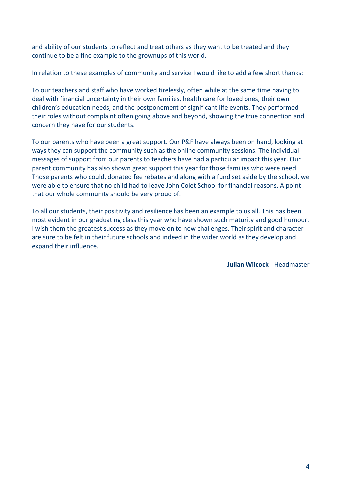and ability of our students to reflect and treat others as they want to be treated and they continue to be a fine example to the grownups of this world.

In relation to these examples of community and service I would like to add a few short thanks:

To our teachers and staff who have worked tirelessly, often while at the same time having to deal with financial uncertainty in their own families, health care for loved ones, their own children's education needs, and the postponement of significant life events. They performed their roles without complaint often going above and beyond, showing the true connection and concern they have for our students.

To our parents who have been a great support. Our P&F have always been on hand, looking at ways they can support the community such as the online community sessions. The individual messages of support from our parents to teachers have had a particular impact this year. Our parent community has also shown great support this year for those families who were need. Those parents who could, donated fee rebates and along with a fund set aside by the school, we were able to ensure that no child had to leave John Colet School for financial reasons. A point that our whole community should be very proud of.

<span id="page-3-0"></span>To all our students, their positivity and resilience has been an example to us all. This has been most evident in our graduating class this year who have shown such maturity and good humour. I wish them the greatest success as they move on to new challenges. Their spirit and character are sure to be felt in their future schools and indeed in the wider world as they develop and expand their influence.

**Julian Wilcock** - Headmaster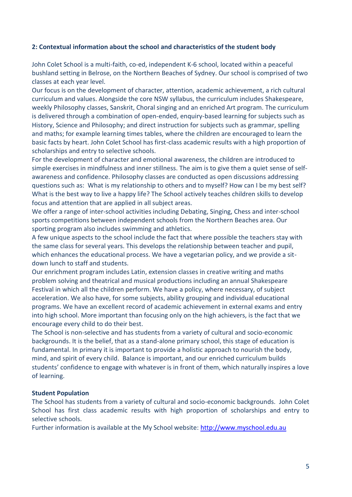#### **2: Contextual information about the school and characteristics of the student body**

John Colet School is a multi-faith, co-ed, independent K-6 school, located within a peaceful bushland setting in Belrose, on the Northern Beaches of Sydney. Our school is comprised of two classes at each year level.

Our focus is on the development of character, attention, academic achievement, a rich cultural curriculum and values. Alongside the core NSW syllabus, the curriculum includes Shakespeare, weekly Philosophy classes, Sanskrit, Choral singing and an enriched Art program. The curriculum is delivered through a combination of open-ended, enquiry-based learning for subjects such as History, Science and Philosophy; and direct instruction for subjects such as grammar, spelling and maths; for example learning times tables, where the children are encouraged to learn the basic facts by heart. John Colet School has first-class academic results with a high proportion of scholarships and entry to selective schools.

For the development of character and emotional awareness, the children are introduced to simple exercises in mindfulness and inner stillness. The aim is to give them a quiet sense of selfawareness and confidence. Philosophy classes are conducted as open discussions addressing questions such as: What is my relationship to others and to myself? How can I be my best self? What is the best way to live a happy life? The School actively teaches children skills to develop focus and attention that are applied in all subject areas.

We offer a range of inter-school activities including Debating, Singing, Chess and inter-school sports competitions between independent schools from the Northern Beaches area. Our sporting program also includes swimming and athletics.

A few unique aspects to the school include the fact that where possible the teachers stay with the same class for several years. This develops the relationship between teacher and pupil, which enhances the educational process. We have a vegetarian policy, and we provide a sitdown lunch to staff and students.

Our enrichment program includes Latin, extension classes in creative writing and maths problem solving and theatrical and musical productions including an annual Shakespeare Festival in which all the children perform. We have a policy, where necessary, of subject acceleration. We also have, for some subjects, ability grouping and individual educational programs. We have an excellent record of academic achievement in external exams and entry into high school. More important than focusing only on the high achievers, is the fact that we encourage every child to do their best.

The School is non-selective and has students from a variety of cultural and socio-economic backgrounds. It is the belief, that as a stand-alone primary school, this stage of education is fundamental. In primary it is important to provide a holistic approach to nourish the body, mind, and spirit of every child. Balance is important, and our enriched curriculum builds students' confidence to engage with whatever is in front of them, which naturally inspires a love of learning.

#### **Student Population**

The School has students from a variety of cultural and socio-economic backgrounds. John Colet School has first class academic results with high proportion of scholarships and entry to selective schools.

Further information is available at the My School website: [http://www.myschool.edu.au](http://www.myschool.edu.au/)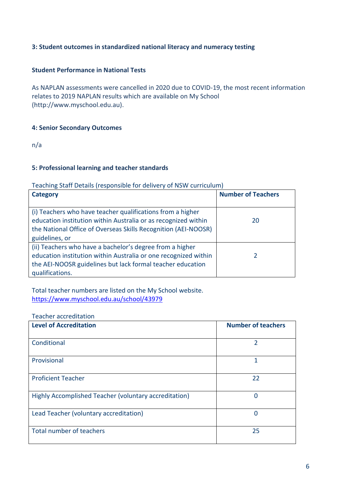## <span id="page-5-0"></span>**3: Student outcomes in standardized national literacy and numeracy testing**

## **Student Performance in National Tests**

As NAPLAN assessments were cancelled in 2020 due to COVID-19, the most recent information relates to 2019 NAPLAN results which are available on My School (http://www.myschool.edu.au).

### <span id="page-5-1"></span>**4: Senior Secondary Outcomes**

<span id="page-5-2"></span>n/a

### **5: Professional learning and teacher standards**

#### Teaching Staff Details (responsible for delivery of NSW curriculum)

| <b>Category</b>                                                 | <b>Number of Teachers</b> |
|-----------------------------------------------------------------|---------------------------|
|                                                                 |                           |
| (i) Teachers who have teacher qualifications from a higher      |                           |
| education institution within Australia or as recognized within  | 20                        |
| the National Office of Overseas Skills Recognition (AEI-NOOSR)  |                           |
| guidelines, or                                                  |                           |
| (ii) Teachers who have a bachelor's degree from a higher        |                           |
| education institution within Australia or one recognized within |                           |
| the AEI-NOOSR guidelines but lack formal teacher education      |                           |
| qualifications.                                                 |                           |

Total teacher numbers are listed on the My School website. <https://www.myschool.edu.au/school/43979>

Teacher accreditation

| <b>Level of Accreditation</b>                         | <b>Number of teachers</b> |
|-------------------------------------------------------|---------------------------|
| Conditional                                           | 2                         |
| Provisional                                           | 1                         |
| <b>Proficient Teacher</b>                             | 22                        |
| Highly Accomplished Teacher (voluntary accreditation) | 0                         |
| Lead Teacher (voluntary accreditation)                | O                         |
| Total number of teachers                              | 25                        |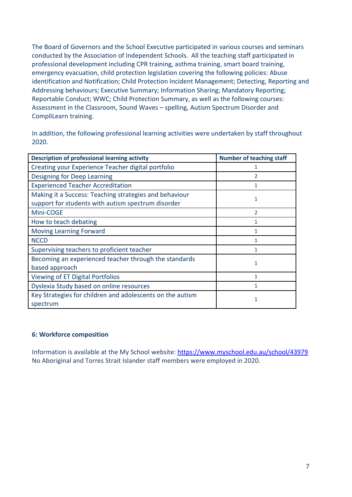The Board of Governors and the School Executive participated in various courses and seminars conducted by the Association of Independent Schools. All the teaching staff participated in professional development including CPR training, asthma training, smart board training, emergency evacuation, child protection legislation covering the following policies: Abuse identification and Notification; Child Protection Incident Management; Detecting, Reporting and Addressing behaviours; Executive Summary; Information Sharing; Mandatory Reporting; Reportable Conduct; WWC; Child Protection Summary, as well as the following courses: Assessment in the Classroom, Sound Waves – spelling, Autism Spectrum Disorder and CompliLearn training.

In addition, the following professional learning activities were undertaken by staff throughout 2020.

| <b>Description of professional learning activity</b>      | <b>Number of teaching staff</b> |
|-----------------------------------------------------------|---------------------------------|
| Creating your Experience Teacher digital portfolio        |                                 |
| Designing for Deep Learning                               |                                 |
| <b>Experienced Teacher Accreditation</b>                  |                                 |
| Making it a Success: Teaching strategies and behaviour    | 1                               |
| support for students with autism spectrum disorder        |                                 |
| Mini-COGE                                                 | $\mathfrak z$                   |
| How to teach debating                                     |                                 |
| <b>Moving Learning Forward</b>                            |                                 |
| <b>NCCD</b>                                               |                                 |
| Supervising teachers to proficient teacher                | 1                               |
| Becoming an experienced teacher through the standards     | 1                               |
| based approach                                            |                                 |
| <b>Viewing of ET Digital Portfolios</b>                   |                                 |
| Dyslexia Study based on online resources                  |                                 |
| Key Strategies for children and adolescents on the autism | 1                               |
| spectrum                                                  |                                 |

#### <span id="page-6-0"></span>**6: Workforce composition**

Information is available at the My School website:<https://www.myschool.edu.au/school/43979> No Aboriginal and Torres Strait Islander staff members were employed in 2020.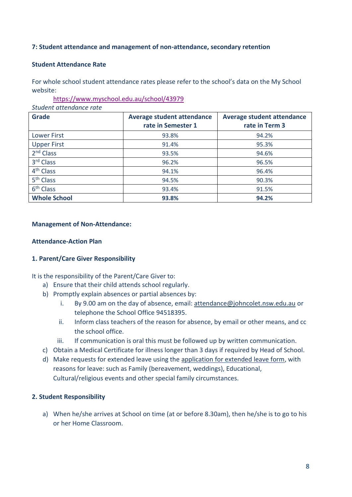## <span id="page-7-0"></span>**7: Student attendance and management of non-attendance, secondary retention**

#### **Student Attendance Rate**

For whole school student attendance rates please refer to the school's data on the My School website:

<https://www.myschool.edu.au/school/43979>

*Student attendance rate*

| <b>Grade</b>          | <b>Average student attendance</b><br>rate in Semester 1 | Average student attendance<br>rate in Term 3 |
|-----------------------|---------------------------------------------------------|----------------------------------------------|
| <b>Lower First</b>    | 93.8%                                                   | 94.2%                                        |
| <b>Upper First</b>    | 91.4%                                                   | 95.3%                                        |
| 2 <sup>nd</sup> Class | 93.5%                                                   | 94.6%                                        |
| 3rd Class             | 96.2%                                                   | 96.5%                                        |
| 4 <sup>th</sup> Class | 94.1%                                                   | 96.4%                                        |
| 5 <sup>th</sup> Class | 94.5%                                                   | 90.3%                                        |
| 6 <sup>th</sup> Class | 93.4%                                                   | 91.5%                                        |
| <b>Whole School</b>   | 93.8%                                                   | 94.2%                                        |

#### **Management of Non-Attendance:**

#### **Attendance-Action Plan**

#### **1. Parent/Care Giver Responsibility**

It is the responsibility of the Parent/Care Giver to:

- a) Ensure that their child attends school regularly.
- b) Promptly explain absences or partial absences by:
	- i. By 9.00 am on the day of absence, email: [attendance@johncolet.nsw.edu.au](mailto:attendance@johncolet.nsw.edu.au) or telephone the School Office 94518395.
	- ii. Inform class teachers of the reason for absence, by email or other means, and cc the school office.
	- iii. If communication is oral this must be followed up by written communication.
- c) Obtain a Medical Certificate for illness longer than 3 days if required by Head of School.
- d) Make requests for extended leave using the application for extended leave form, with reasons for leave: such as Family (bereavement, weddings), Educational, Cultural/religious events and other special family circumstances.

#### **2. Student Responsibility**

a) When he/she arrives at School on time (at or before 8.30am), then he/she is to go to his or her Home Classroom.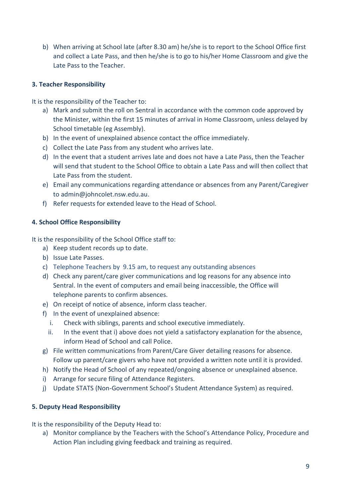b) When arriving at School late (after 8.30 am) he/she is to report to the School Office first and collect a Late Pass, and then he/she is to go to his/her Home Classroom and give the Late Pass to the Teacher.

## **3. Teacher Responsibility**

It is the responsibility of the Teacher to:

- a) Mark and submit the roll on Sentral in accordance with the common code approved by the Minister, within the first 15 minutes of arrival in Home Classroom, unless delayed by School timetable (eg Assembly).
- b) In the event of unexplained absence contact the office immediately.
- c) Collect the Late Pass from any student who arrives late.
- d) In the event that a student arrives late and does not have a Late Pass, then the Teacher will send that student to the School Office to obtain a Late Pass and will then collect that Late Pass from the student.
- e) Email any communications regarding attendance or absences from any Parent/Caregiver to admin@johncolet.nsw.edu.au.
- f) Refer requests for extended leave to the Head of School.

## **4. School Office Responsibility**

It is the responsibility of the School Office staff to:

- a) Keep student records up to date.
- b) Issue Late Passes.
- c) Telephone Teachers by 9.15 am, to request any outstanding absences
- d) Check any parent/care giver communications and log reasons for any absence into Sentral. In the event of computers and email being inaccessible, the Office will telephone parents to confirm absences.
- e) On receipt of notice of absence, inform class teacher.
- f) In the event of unexplained absence:
	- i. Check with siblings, parents and school executive immediately.
	- ii. In the event that i) above does not yield a satisfactory explanation for the absence, inform Head of School and call Police.
- g) File written communications from Parent/Care Giver detailing reasons for absence. Follow up parent/care givers who have not provided a written note until it is provided.
- h) Notify the Head of School of any repeated/ongoing absence or unexplained absence.
- i) Arrange for secure filing of Attendance Registers.
- j) Update STATS (Non-Government School's Student Attendance System) as required.

## **5. Deputy Head Responsibility**

It is the responsibility of the Deputy Head to:

a) Monitor compliance by the Teachers with the School's Attendance Policy, Procedure and Action Plan including giving feedback and training as required.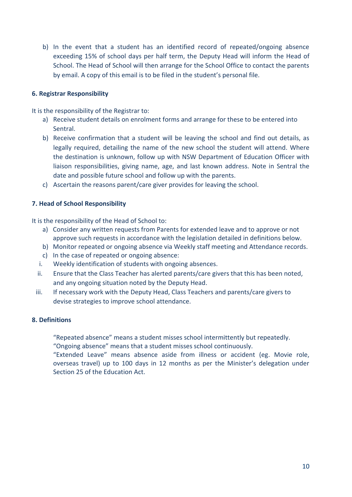b) In the event that a student has an identified record of repeated/ongoing absence exceeding 15% of school days per half term, the Deputy Head will inform the Head of School. The Head of School will then arrange for the School Office to contact the parents by email. A copy of this email is to be filed in the student's personal file.

## **6. Registrar Responsibility**

It is the responsibility of the Registrar to:

- a) Receive student details on enrolment forms and arrange for these to be entered into Sentral.
- b) Receive confirmation that a student will be leaving the school and find out details, as legally required, detailing the name of the new school the student will attend. Where the destination is unknown, follow up with NSW Department of Education Officer with liaison responsibilities, giving name, age, and last known address. Note in Sentral the date and possible future school and follow up with the parents.
- c) Ascertain the reasons parent/care giver provides for leaving the school.

## **7. Head of School Responsibility**

It is the responsibility of the Head of School to:

- a) Consider any written requests from Parents for extended leave and to approve or not approve such requests in accordance with the legislation detailed in definitions below.
- b) Monitor repeated or ongoing absence via Weekly staff meeting and Attendance records.
- c) In the case of repeated or ongoing absence:
- i. Weekly identification of students with ongoing absences.
- ii. Ensure that the Class Teacher has alerted parents/care givers that this has been noted, and any ongoing situation noted by the Deputy Head.
- iii. If necessary work with the Deputy Head, Class Teachers and parents/care givers to devise strategies to improve school attendance.

#### **8. Definitions**

"Repeated absence" means a student misses school intermittently but repeatedly. "Ongoing absence" means that a student misses school continuously.

"Extended Leave" means absence aside from illness or accident (eg. Movie role, overseas travel) up to 100 days in 12 months as per the Minister's delegation under Section 25 of the Education Act.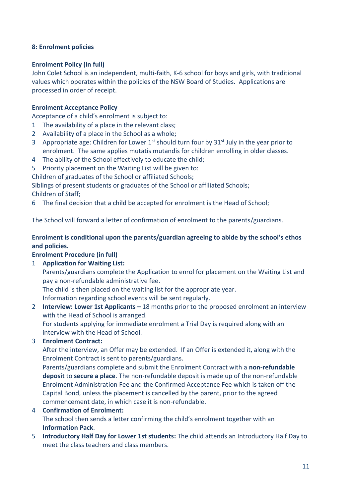## <span id="page-10-0"></span>**8: Enrolment policies**

## **Enrolment Policy (in full)**

John Colet School is an independent, multi-faith, K-6 school for boys and girls, with traditional values which operates within the policies of the NSW Board of Studies. Applications are processed in order of receipt.

## **Enrolment Acceptance Policy**

Acceptance of a child's enrolment is subject to:

- 1 The availability of a place in the relevant class;
- 2 Availability of a place in the School as a whole;
- 3 Appropriate age: Children for Lower  $1^{st}$  should turn four by  $31^{st}$  July in the year prior to enrolment. The same applies mutatis mutandis for children enrolling in older classes.
- 4 The ability of the School effectively to educate the child;
- 5 Priority placement on the Waiting List will be given to:

Children of graduates of the School or affiliated Schools;

Siblings of present students or graduates of the School or affiliated Schools; Children of Staff;

6 The final decision that a child be accepted for enrolment is the Head of School;

The School will forward a letter of confirmation of enrolment to the parents/guardians.

## **Enrolment is conditional upon the parents/guardian agreeing to abide by the school's ethos and policies.**

## **Enrolment Procedure (in full)**

## 1 **Application for Waiting List:**

Parents/guardians complete the Application to enrol for placement on the Waiting List and pay a non-refundable administrative fee.

The child is then placed on the waiting list for the appropriate year.

Information regarding school events will be sent regularly.

2 **Interview: Lower 1st Applicants –** 18 months prior to the proposed enrolment an interview with the Head of School is arranged.

For students applying for immediate enrolment a Trial Day is required along with an interview with the Head of School.

## 3 **Enrolment Contract:**

After the interview, an Offer may be extended. If an Offer is extended it, along with the Enrolment Contract is sent to parents/guardians.

Parents/guardians complete and submit the Enrolment Contract with a **non-refundable deposit** to **secure a place**. The non-refundable deposit is made up of the non-refundable Enrolment Administration Fee and the Confirmed Acceptance Fee which is taken off the Capital Bond, unless the placement is cancelled by the parent, prior to the agreed commencement date, in which case it is non-refundable.

#### 4 **Confirmation of Enrolment:**

The school then sends a letter confirming the child's enrolment together with an **Information Pack**.

5 **Introductory Half Day for Lower 1st students:** The child attends an Introductory Half Day to meet the class teachers and class members.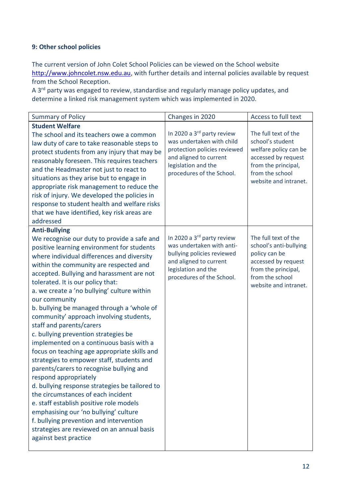## <span id="page-11-0"></span>**9: Other school policies**

The current version of John Colet School Policies can be viewed on the School website [http://www.johncolet.nsw.edu.au,](http://www.johncolet.nsw.edu.au/) with further details and internal policies available by request from the School Reception.

A 3<sup>rd</sup> party was engaged to review, standardise and regularly manage policy updates, and determine a linked risk management system which was implemented in 2020.

| <b>Summary of Policy</b>                                                                                                                                                                                                                                                                                                                                                                                                                                                                                                                                                                                                                                                                                                                                                                                                                                                                                                                                                                                                             | Changes in 2020                                                                                                                                                                 | Access to full text                                                                                                                                         |
|--------------------------------------------------------------------------------------------------------------------------------------------------------------------------------------------------------------------------------------------------------------------------------------------------------------------------------------------------------------------------------------------------------------------------------------------------------------------------------------------------------------------------------------------------------------------------------------------------------------------------------------------------------------------------------------------------------------------------------------------------------------------------------------------------------------------------------------------------------------------------------------------------------------------------------------------------------------------------------------------------------------------------------------|---------------------------------------------------------------------------------------------------------------------------------------------------------------------------------|-------------------------------------------------------------------------------------------------------------------------------------------------------------|
| <b>Student Welfare</b><br>The school and its teachers owe a common<br>law duty of care to take reasonable steps to<br>protect students from any injury that may be<br>reasonably foreseen. This requires teachers<br>and the Headmaster not just to react to<br>situations as they arise but to engage in<br>appropriate risk management to reduce the<br>risk of injury. We developed the policies in<br>response to student health and welfare risks<br>that we have identified, key risk areas are<br>addressed                                                                                                                                                                                                                                                                                                                                                                                                                                                                                                                   | In 2020 a 3rd party review<br>was undertaken with child<br>protection policies reviewed<br>and aligned to current<br>legislation and the<br>procedures of the School.           | The full text of the<br>school's student<br>welfare policy can be<br>accessed by request<br>from the principal,<br>from the school<br>website and intranet. |
| <b>Anti-Bullying</b><br>We recognise our duty to provide a safe and<br>positive learning environment for students<br>where individual differences and diversity<br>within the community are respected and<br>accepted. Bullying and harassment are not<br>tolerated. It is our policy that:<br>a. we create a 'no bullying' culture within<br>our community<br>b. bullying be managed through a 'whole of<br>community' approach involving students,<br>staff and parents/carers<br>c. bullying prevention strategies be<br>implemented on a continuous basis with a<br>focus on teaching age appropriate skills and<br>strategies to empower staff, students and<br>parents/carers to recognise bullying and<br>respond appropriately<br>d. bullying response strategies be tailored to<br>the circumstances of each incident<br>e. staff establish positive role models<br>emphasising our 'no bullying' culture<br>f. bullying prevention and intervention<br>strategies are reviewed on an annual basis<br>against best practice | In 2020 a 3 <sup>rd</sup> party review<br>was undertaken with anti-<br>bullying policies reviewed<br>and aligned to current<br>legislation and the<br>procedures of the School. | The full text of the<br>school's anti-bullying<br>policy can be<br>accessed by request<br>from the principal,<br>from the school<br>website and intranet.   |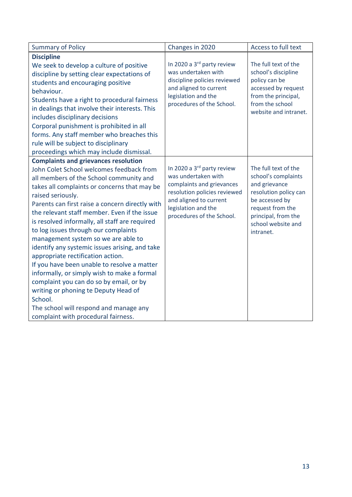| <b>Summary of Policy</b>                                                                                                                                                                                                                                                                                                                                                                                                                                                                                                                                                                                                                                                                                                                                                                                                                                    | Changes in 2020                                                                                                                                                                                | Access to full text                                                                                                                                                                   |
|-------------------------------------------------------------------------------------------------------------------------------------------------------------------------------------------------------------------------------------------------------------------------------------------------------------------------------------------------------------------------------------------------------------------------------------------------------------------------------------------------------------------------------------------------------------------------------------------------------------------------------------------------------------------------------------------------------------------------------------------------------------------------------------------------------------------------------------------------------------|------------------------------------------------------------------------------------------------------------------------------------------------------------------------------------------------|---------------------------------------------------------------------------------------------------------------------------------------------------------------------------------------|
| <b>Discipline</b><br>We seek to develop a culture of positive<br>discipline by setting clear expectations of<br>students and encouraging positive<br>behaviour.<br>Students have a right to procedural fairness<br>in dealings that involve their interests. This<br>includes disciplinary decisions<br>Corporal punishment is prohibited in all<br>forms. Any staff member who breaches this<br>rule will be subject to disciplinary                                                                                                                                                                                                                                                                                                                                                                                                                       | In 2020 a 3rd party review<br>was undertaken with<br>discipline policies reviewed<br>and aligned to current<br>legislation and the<br>procedures of the School.                                | The full text of the<br>school's discipline<br>policy can be<br>accessed by request<br>from the principal,<br>from the school<br>website and intranet.                                |
| proceedings which may include dismissal.<br><b>Complaints and grievances resolution</b><br>John Colet School welcomes feedback from<br>all members of the School community and<br>takes all complaints or concerns that may be<br>raised seriously.<br>Parents can first raise a concern directly with<br>the relevant staff member. Even if the issue<br>is resolved informally, all staff are required<br>to log issues through our complaints<br>management system so we are able to<br>identify any systemic issues arising, and take<br>appropriate rectification action.<br>If you have been unable to resolve a matter<br>informally, or simply wish to make a formal<br>complaint you can do so by email, or by<br>writing or phoning te Deputy Head of<br>School.<br>The school will respond and manage any<br>complaint with procedural fairness. | In 2020 a $3rd$ party review<br>was undertaken with<br>complaints and grievances<br>resolution policies reviewed<br>and aligned to current<br>legislation and the<br>procedures of the School. | The full text of the<br>school's complaints<br>and grievance<br>resolution policy can<br>be accessed by<br>request from the<br>principal, from the<br>school website and<br>intranet. |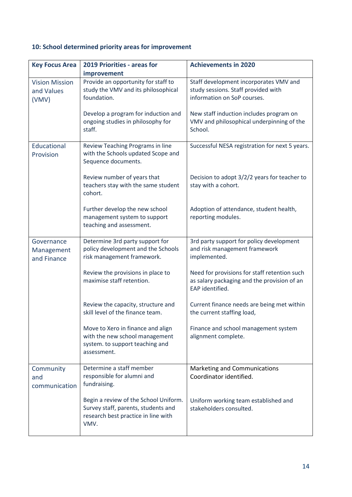## <span id="page-13-0"></span>**10: School determined priority areas for improvement**

| <b>Key Focus Area</b>                        | 2019 Priorities - areas for                                                                                                 | <b>Achievements in 2020</b>                                                                                    |
|----------------------------------------------|-----------------------------------------------------------------------------------------------------------------------------|----------------------------------------------------------------------------------------------------------------|
|                                              | improvement                                                                                                                 |                                                                                                                |
| <b>Vision Mission</b><br>and Values<br>(VMV) | Provide an opportunity for staff to<br>study the VMV and its philosophical<br>foundation.                                   | Staff development incorporates VMV and<br>study sessions. Staff provided with<br>information on SoP courses.   |
|                                              | Develop a program for induction and<br>ongoing studies in philosophy for<br>staff.                                          | New staff induction includes program on<br>VMV and philosophical underpinning of the<br>School.                |
| Educational<br>Provision                     | Review Teaching Programs in line<br>with the Schools updated Scope and<br>Sequence documents.                               | Successful NESA registration for next 5 years.                                                                 |
|                                              | Review number of years that<br>teachers stay with the same student<br>cohort.                                               | Decision to adopt 3/2/2 years for teacher to<br>stay with a cohort.                                            |
|                                              | Further develop the new school<br>management system to support<br>teaching and assessment.                                  | Adoption of attendance, student health,<br>reporting modules.                                                  |
| Governance<br>Management<br>and Finance      | Determine 3rd party support for<br>policy development and the Schools<br>risk management framework.                         | 3rd party support for policy development<br>and risk management framework<br>implemented.                      |
|                                              | Review the provisions in place to<br>maximise staff retention.                                                              | Need for provisions for staff retention such<br>as salary packaging and the provision of an<br>EAP identified. |
|                                              | Review the capacity, structure and<br>skill level of the finance team.                                                      | Current finance needs are being met within<br>the current staffing load,                                       |
|                                              | Move to Xero in finance and align<br>with the new school management<br>system. to support teaching and<br>assessment.       | Finance and school management system<br>alignment complete.                                                    |
| Community<br>and<br>communication            | Determine a staff member<br>responsible for alumni and<br>fundraising.                                                      | Marketing and Communications<br>Coordinator identified.                                                        |
|                                              | Begin a review of the School Uniform.<br>Survey staff, parents, students and<br>research best practice in line with<br>VMV. | Uniform working team established and<br>stakeholders consulted.                                                |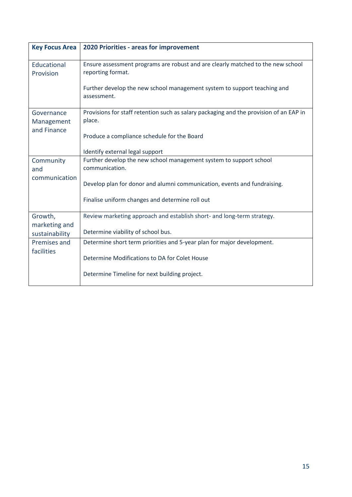| <b>Key Focus Area</b>                   | 2020 Priorities - areas for improvement                                                               |
|-----------------------------------------|-------------------------------------------------------------------------------------------------------|
| Educational<br>Provision                | Ensure assessment programs are robust and are clearly matched to the new school<br>reporting format.  |
|                                         | Further develop the new school management system to support teaching and<br>assessment.               |
| Governance<br>Management<br>and Finance | Provisions for staff retention such as salary packaging and the provision of an EAP in<br>place.      |
|                                         | Produce a compliance schedule for the Board                                                           |
| Community                               | Identify external legal support<br>Further develop the new school management system to support school |
| and<br>communication                    | communication.                                                                                        |
|                                         | Develop plan for donor and alumni communication, events and fundraising.                              |
|                                         | Finalise uniform changes and determine roll out                                                       |
| Growth,<br>marketing and                | Review marketing approach and establish short- and long-term strategy.                                |
| sustainability                          | Determine viability of school bus.                                                                    |
| Premises and<br>facilities              | Determine short term priorities and 5-year plan for major development.                                |
|                                         | Determine Modifications to DA for Colet House                                                         |
|                                         | Determine Timeline for next building project.                                                         |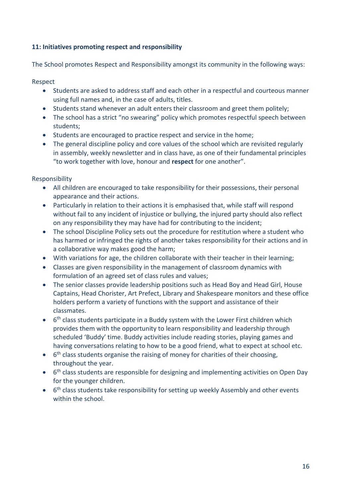## <span id="page-15-0"></span>**11: Initiatives promoting respect and responsibility**

The School promotes Respect and Responsibility amongst its community in the following ways:

## Respect

- Students are asked to address staff and each other in a respectful and courteous manner using full names and, in the case of adults, titles.
- Students stand whenever an adult enters their classroom and greet them politely;
- The school has a strict "no swearing" policy which promotes respectful speech between students;
- Students are encouraged to practice respect and service in the home;
- The general discipline policy and core values of the school which are revisited regularly in assembly, weekly newsletter and in class have, as one of their fundamental principles "to work together with love, honour and **respect** for one another".

Responsibility

- All children are encouraged to take responsibility for their possessions, their personal appearance and their actions.
- Particularly in relation to their actions it is emphasised that, while staff will respond without fail to any incident of injustice or bullying, the injured party should also reflect on any responsibility they may have had for contributing to the incident;
- The school Discipline Policy sets out the procedure for restitution where a student who has harmed or infringed the rights of another takes responsibility for their actions and in a collaborative way makes good the harm;
- With variations for age, the children collaborate with their teacher in their learning;
- Classes are given responsibility in the management of classroom dynamics with formulation of an agreed set of class rules and values;
- The senior classes provide leadership positions such as Head Boy and Head Girl, House Captains, Head Chorister, Art Prefect, Library and Shakespeare monitors and these office holders perform a variety of functions with the support and assistance of their classmates.
- 6<sup>th</sup> class students participate in a Buddy system with the Lower First children which provides them with the opportunity to learn responsibility and leadership through scheduled 'Buddy' time. Buddy activities include reading stories, playing games and having conversations relating to how to be a good friend, what to expect at school etc.
- 6<sup>th</sup> class students organise the raising of money for charities of their choosing, throughout the year.
- 6<sup>th</sup> class students are responsible for designing and implementing activities on Open Day for the younger children.
- 6<sup>th</sup> class students take responsibility for setting up weekly Assembly and other events within the school.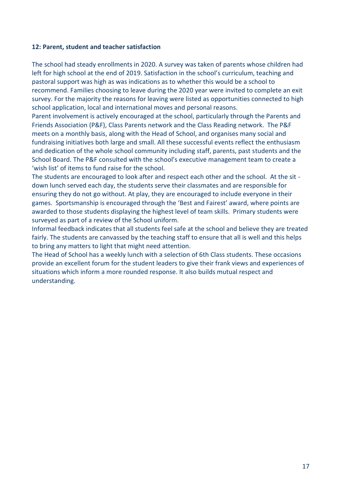#### <span id="page-16-0"></span>**12: Parent, student and teacher satisfaction**

The school had steady enrollments in 2020. A survey was taken of parents whose children had left for high school at the end of 2019. Satisfaction in the school's curriculum, teaching and pastoral support was high as was indications as to whether this would be a school to recommend. Families choosing to leave during the 2020 year were invited to complete an exit survey. For the majority the reasons for leaving were listed as opportunities connected to high school application, local and international moves and personal reasons.

Parent involvement is actively encouraged at the school, particularly through the Parents and Friends Association (P&F), Class Parents network and the Class Reading network. The P&F meets on a monthly basis, along with the Head of School, and organises many social and fundraising initiatives both large and small. All these successful events reflect the enthusiasm and dedication of the whole school community including staff, parents, past students and the School Board. The P&F consulted with the school's executive management team to create a 'wish list' of items to fund raise for the school.

The students are encouraged to look after and respect each other and the school. At the sit down lunch served each day, the students serve their classmates and are responsible for ensuring they do not go without. At play, they are encouraged to include everyone in their games. Sportsmanship is encouraged through the 'Best and Fairest' award, where points are awarded to those students displaying the highest level of team skills. Primary students were surveyed as part of a review of the School uniform.

Informal feedback indicates that all students feel safe at the school and believe they are treated fairly. The students are canvassed by the teaching staff to ensure that all is well and this helps to bring any matters to light that might need attention.

The Head of School has a weekly lunch with a selection of 6th Class students. These occasions provide an excellent forum for the student leaders to give their frank views and experiences of situations which inform a more rounded response. It also builds mutual respect and understanding.